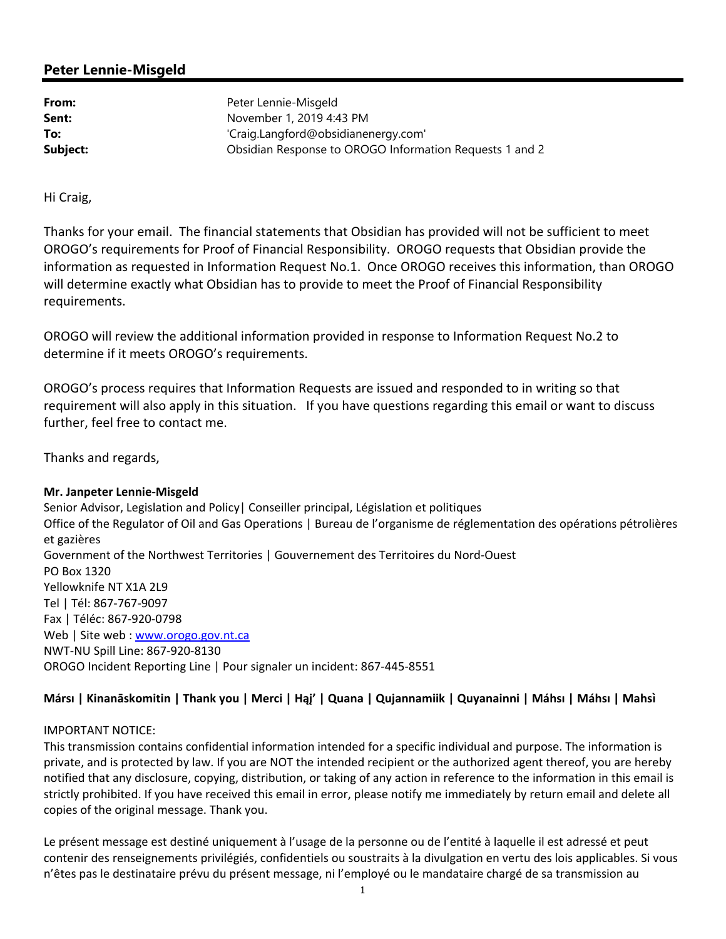## **Peter Lennie-Misgeld**

**From:** Peter Lennie-Misgeld **Sent:** November 1, 2019 4:43 PM **To:** 'Craig.Langford@obsidianenergy.com' **Subject:** Obsidian Response to OROGO Information Requests 1 and 2

Hi Craig,

Thanks for your email. The financial statements that Obsidian has provided will not be sufficient to meet OROGO's requirements for Proof of Financial Responsibility. OROGO requests that Obsidian provide the information as requested in Information Request No.1. Once OROGO receives this information, than OROGO will determine exactly what Obsidian has to provide to meet the Proof of Financial Responsibility requirements.

OROGO will review the additional information provided in response to Information Request No.2 to determine if it meets OROGO's requirements.

OROGO's process requires that Information Requests are issued and responded to in writing so that requirement will also apply in this situation. If you have questions regarding this email or want to discuss further, feel free to contact me.

Thanks and regards,

## **Mr. Janpeter Lennie‐Misgeld**

Senior Advisor, Legislation and Policy| Conseiller principal, Législation et politiques Office of the Regulator of Oil and Gas Operations | Bureau de l'organisme de réglementation des opérations pétrolières et gazières Government of the Northwest Territories | Gouvernement des Territoires du Nord‐Ouest PO Box 1320 Yellowknife NT X1A 2L9 Tel | Tél: 867‐767‐9097 Fax | Téléc: 867‐920‐0798 Web | Site web : www.orogo.gov.nt.ca NWT‐NU Spill Line: 867‐920‐8130 OROGO Incident Reporting Line | Pour signaler un incident: 867‐445‐8551

## **Mársı | Kinanāskomitin | Thank you | Merci | Hąį' | Quana | Qujannamiik | Quyanainni | Máhsı | Máhsı | Mahsı̀**

## IMPORTANT NOTICE:

This transmission contains confidential information intended for a specific individual and purpose. The information is private, and is protected by law. If you are NOT the intended recipient or the authorized agent thereof, you are hereby notified that any disclosure, copying, distribution, or taking of any action in reference to the information in this email is strictly prohibited. If you have received this email in error, please notify me immediately by return email and delete all copies of the original message. Thank you.

Le présent message est destiné uniquement à l'usage de la personne ou de l'entité à laquelle il est adressé et peut contenir des renseignements privilégiés, confidentiels ou soustraits à la divulgation en vertu des lois applicables. Si vous n'êtes pas le destinataire prévu du présent message, ni l'employé ou le mandataire chargé de sa transmission au